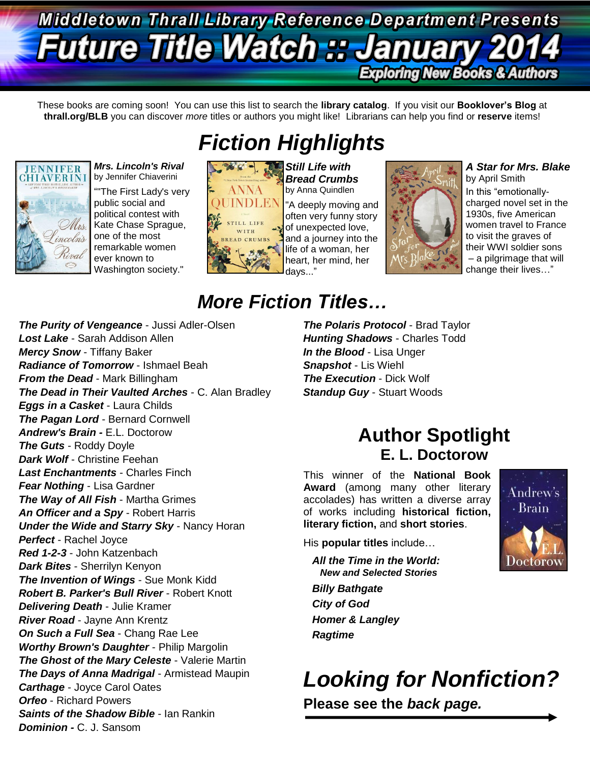### Middletown Thrall Library-Reference Department Presents **Future Title Watch :: Ja** nuar **Exploring New Books & Authors**

These books are coming soon! You can use this list to search the **library catalog**. If you visit our **Booklover's Blog** at **thrall.org/BLB** you can discover *more* titles or authors you might like! Librarians can help you find or **reserve** items!



*Mrs. Lincoln's Rival*  by Jennifer Chiaverini

""The First Lady's very public social and political contest with Kate Chase Sprague, one of the most remarkable women ever known to Washington society."

# *Fiction Highlights*



**Still Life with** *Bread Crumbs*  by Anna Quindlen "A deeply moving and often very funny story of unexpected love, and a journey into the life of a woman, her heart, her mind, her days..."



### *A Star for Mrs. Blake*

by April Smith In this "emotionallycharged novel set in the 1930s, five American women travel to France to visit the graves of their WWI soldier sons – a pilgrimage that will change their lives…"

## *More Fiction Titles…*

*The Purity of Vengeance* - Jussi Adler-Olsen *Lost Lake* - Sarah Addison Allen *Mercy Snow* - Tiffany Baker *Radiance of Tomorrow* - Ishmael Beah *From the Dead* - Mark Billingham *The Dead in Their Vaulted Arches* - C. Alan Bradley *Eggs in a Casket* - Laura Childs *The Pagan Lord* - Bernard Cornwell *Andrew's Brain -* E.L. Doctorow *The Guts* - Roddy Doyle *Dark Wolf* - Christine Feehan *Last Enchantments* - Charles Finch *Fear Nothing* - Lisa Gardner *The Way of All Fish - Martha Grimes An Officer and a Spy* - Robert Harris *Under the Wide and Starry Sky* - Nancy Horan *Perfect* - Rachel Joyce *Red 1-2-3* - John Katzenbach *Dark Bites* - Sherrilyn Kenyon *The Invention of Wings* - Sue Monk Kidd *Robert B. Parker's Bull River* - Robert Knott *Delivering Death* - Julie Kramer *River Road* - Jayne Ann Krentz *On Such a Full Sea* - Chang Rae Lee *Worthy Brown's Daughter* - Philip Margolin *The Ghost of the Mary Celeste* - Valerie Martin *The Days of Anna Madrigal* - Armistead Maupin *Carthage* - Joyce Carol Oates *Orfeo* - Richard Powers *Saints of the Shadow Bible* - Ian Rankin *Dominion -* C. J. Sansom

*The Polaris Protocol* - Brad Taylor *Hunting Shadows* - Charles Todd *In the Blood* - Lisa Unger *Snapshot* - Lis Wiehl *The Execution - Dick Wolf Standup Guy* - Stuart Woods

### **Author Spotlight E. L. Doctorow**

This winner of the **National Book Award** (among many other literary accolades) has written a diverse array of works including **historical fiction, literary fiction,** and **short stories**.



His **popular titles** include…

*All the Time in the World: New and Selected Stories*

*Billy Bathgate City of God Homer & Langley Ragtime*

*Looking for Nonfiction?* **Please see the** *back page.*